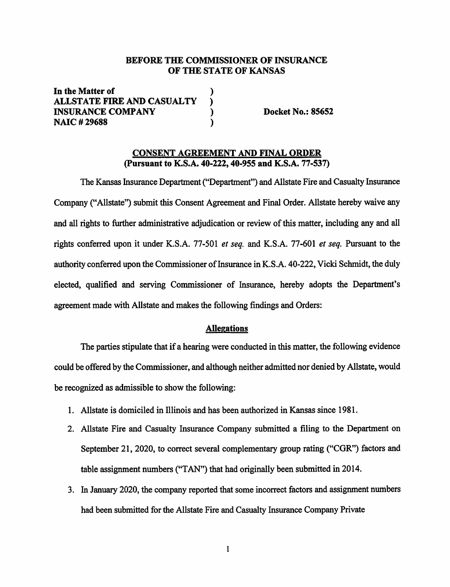## **BEFORE THE COMMISSIONER OF INSURANCE OF THE STATE OF KANSAS**

**In the Matter of** ) **ALLSTATE FIRE AND CASUALTY** ) **INSURANCE COMPANY ) Docket No.: 85652 NAIC** # **29688** )

#### **CONSENT AGREEMENT AND FINAL ORDER (Pursuant to K.S.A. 40-222, 40-955 and K.S.A. 77-537)**

The Kansas Insurance Department ("Department") and Allstate Fire and Casualty Insurance Company ("Allstate") submit this Consent Agreement and Final Order. Allstate hereby waive any and all rights to further administrative adjudication or review of this matter, including any and all rights conferred upon it under K.S.A. 77-501 *et seq.* and K.S.A. 77-601 *et seq.* Pursuant to the authority conferred upon the Commissioner of Insurance in K.S.A. 40-222, Vicki Schmidt, the duly elected, qualified and serving Commissioner of Insurance, hereby adopts the Department's agreement made with Allstate and makes the following findings and Orders:

#### **Allegations**

The parties stipulate that if a hearing were conducted in this matter, the following evidence could be offered by the Commissioner, and although neither admitted nor denied by Allstate, would be recognized as admissible to show the following:

- 1. Allstate is domiciled in Illinois and has been authorized in Kansas since 1981.
- 2. Allstate Fire and Casualty Insurance Company submitted a filing to the Department on September 21, 2020, to correct several complementary group rating ("CGR") factors and table assignment numbers ("TAN") that had originally been submitted in 2014.
- 3. In January 2020, the company reported that some incorrect factors and assignment numbers had been submitted for the Allstate Fire and Casualty Insurance Company Private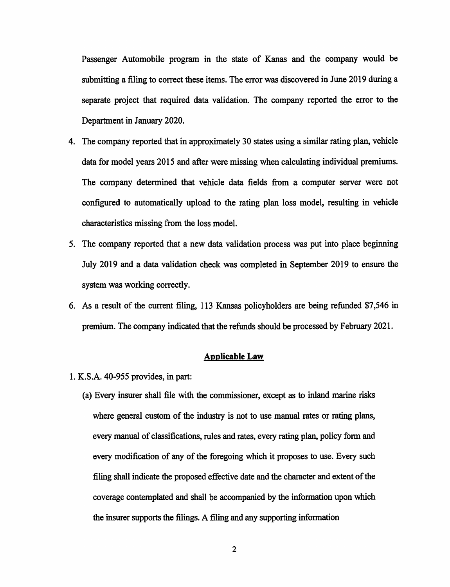Passenger Automobile program in the state of Kanas and the company would be submitting a filing to correct these items. The error was discovered in June 2019 during a separate project that required data validation. The company reported the error to the Department in January 2020.

- 4. The company reported that in approximately 30 states using a similar rating plan, vehicle data for model years 2015 and after were missing when calculating individual premiums. The company determined that vehicle data fields from a computer server were not configured to automatically upload to the rating plan loss model, resulting in vehicle characteristics missing from the loss model.
- 5. The company reported that a new data validation process was put into place beginning July 2019 and a data validation check was completed in September 2019 to ensure the system was working correctly.
- 6. As a result of the current filing, 113 Kansas policyholders are being refunded \$7,546 in premium. The company indicated that the refunds should be processed by February 2021.

#### **Applicable Law**

- 1. K.S.A. 40-955 provides, in part:
	- (a) Every insurer shall file with the commissioner, except as to inland marine risks where general custom of the industry is not to use manual rates or rating plans, every manual of classifications, rules and rates, every rating plan, policy form and every modification of any of the foregoing which it proposes to use. Every such filing shall indicate the proposed effective date and the character and extent of the coverage contemplated and shall be accompanied by the information upon which the insurer supports the filings. A filing and any supporting information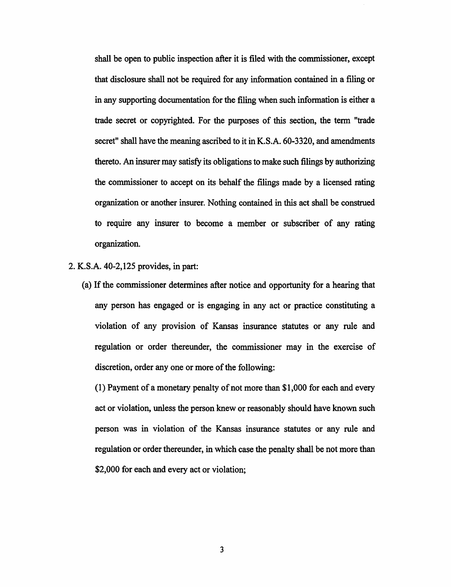shall be open to public inspection after it is filed with the commissioner, except that disclosure shall not be required for any information contained in a filing or in any supporting documentation for the filing when such information is either a trade secret or copyrighted. For the purposes of this section, the term "trade secret" shall have the meaning ascribed to it in K.S.A. 60-3320, and amendments thereto. An insurer may satisfy its obligations to make such filings by authorizing the commissioner to accept on its behalf the filings made by a licensed rating organization or another insurer. Nothing contained in this act shall be construed to require any insurer to become a member or subscriber of any rating organization.

2. **K.S.A.** 40-2, 125 provides, in part:

(a) If the commissioner determines after notice and opportunity for a hearing that any person has engaged or is engaging in any act or practice constituting a violation of any provision of Kansas insurance statutes or any rule and regulation or order thereunder, the commissioner may in the exercise of discretion, order any one or more of the following:

( 1) Payment of a monetary penalty of not more than \$1,000 for each and every act or violation, unless the person knew or reasonably should have known such person was in violation of the Kansas insurance statutes or any rule and regulation or order thereunder, in which case the penalty shall be not more than \$2,000 for each and every act or violation;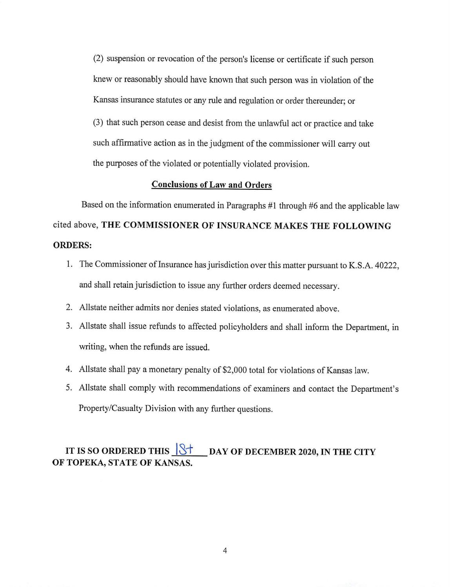(2) suspension or revocation of the person's license or certificate if such person knew or reasonably should have known that such person was in violation of the Kansas insurance statutes or any rule and regulation or order thereunder; or (3) that such person cease and desist from the unlawful act or practice and take such affirmative action as in the judgment of the commissioner will carry out the purposes of the violated or potentially violated provision.

## **Conclusions of Law and Orders**

Based on the information enumerated in Paragraphs  $#1$  through  $#6$  and the applicable law cited above, **THE COMMISSIONER OF INSURANCE MAKES THE FOLLOWING ORDERS:** 

- 1. The Commissioner of Insurance has jurisdiction over this matter pursuant to K.S.A. 40222, and shall retain jurisdiction to issue any further orders deemed necessary.
- 2. Allstate neither admits nor denies stated violations, as enumerated above.
- 3. Allstate shall issue refunds to affected policyholders and shall inform the Department, in writing, when the refunds are issued.
- 4. Allstate shall pay a monetary penalty of \$2,000 total for violations of Kansas law.
- 5. Allstate shall comply with recommendations of examiners and contact the Department's Property/Casualty Division with any further questions.

# IT IS SO ORDERED THIS **8 8 6 AM** OF DECEMBER 2020, IN THE CITY **OF TOPEKA, STATE OF KANSAS.**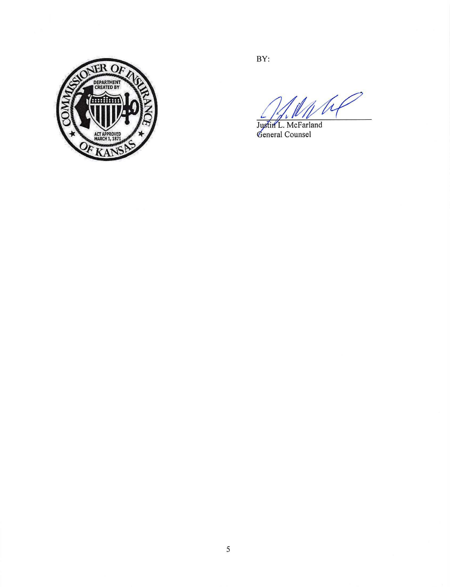

BY:

W

Justin L. McFarland<br>General Counsel